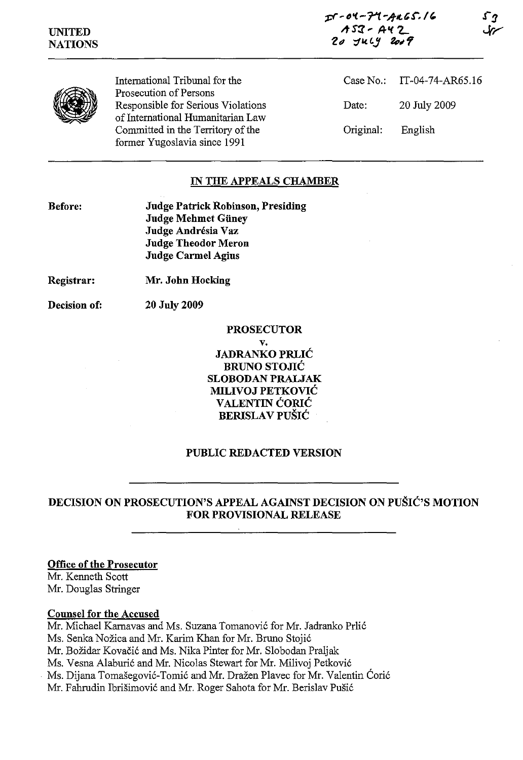pr' **fJ'f.-"1't '-fit'!'" /"**  *"S:Z'* **AI( 2-** 20 July 2009





International Tribunal for the Prosecution of Persons Responsible for Serious Violations of International Humanitarian Law Committed in the Territory of the former Yugoslavia since 1991

Case No.: IT-04-74-AR65.16 Date: 20 July 2009 Original: English

# **IN THE APPEALS CHAMBER**

**Before:** 

**Judge Patrick Robinson, Presiding Judge Mehmet Giiney**  Judge Andrésia Vaz **Judge Theodor Meron Judge Carmel Agius** 

**Registrar: Mr. John Hocking** 

**Decision of: 20** July 2009

> **PROSECUTOR v. JADRANKO PRLIC BRUNO STOJIC SLOBODAN PRALJAK MILIVOJ PETKOVIC VALENTIN CORIC BERISLAV PUŠIĆ**

# **PUBLIC REDACTED VERSION**

**DECISION ON PROSECUTION'S APPEAL AGAINST DECISION ON PUSIC'S MOTION FOR PROVISIONAL RELEASE** 

## **Office of the Prosecutor**

Mr. Kenneth Scott Mr. Douglas Stringer

## **Counsel for the Accused**

Mr. Michael Karnavas and Ms. Suzana Tomanović for Mr. Jadranko Prlić Ms. Senka Nožica and Mr. Karim Khan for Mr. Bruno Stojić Mr. Božidar Kovačić and Ms. Nika Pinter for Mr. Slobodan Praljak Ms. Vesna Alaburic and Mr. Nicolas Stewart for Mr. Milivoj Petkovic Ms. Dijana Tomašegović-Tomić and Mr. Dražen Plavec for Mr. Valentin Corić Mr. Fahrudin Ibrisimovic and Mr. Roger Sahota for Mr. Berislav Pusic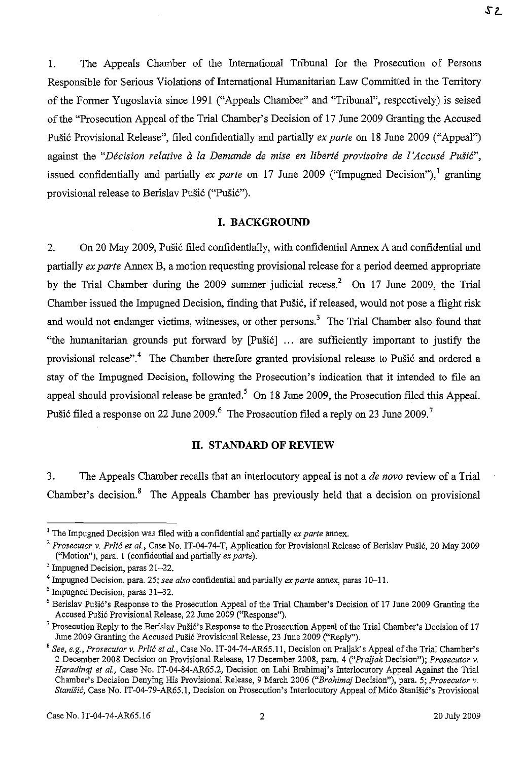1. The Appeals Chamber of the International Tribunal for the Prosecution of Persons Responsible for Serious Violations of International Humanitarian Law Committed in the Territory of the Former Yugoslavia since 1991 ("Appeals Chamber" and "Tribunal", respectively) is seised of the "Prosecution Appeal of the Trial Chamber's Decision of 17 June 2009 Granting the Accused Pusic Provisional Release", filed confidentially and partially *ex parte* on 18 June 2009 ("Appeal") against the "Décision relative à la Demande de mise en liberté provisoire de l'Accusé Pušić", issued confidentially and partially *ex parte* on 17 June 2009 ("Impugned Decision"), granting provisional release to Berislav Pušić ("Pušić").

### **I. BACKGROUND**

2. On 20 May 2009, Pušić filed confidentially, with confidential Annex A and confidential and partially *ex parte* Annex B, a motion requesting provisional release for a period deemed appropriate by the Trial Chamber during the 2009 summer judicial recess.<sup>2</sup> On 17 June 2009, the Trial Chamber issued the Impugned Decision, finding that Pusic, if released, would not pose a flight risk and would not endanger victims, witnesses, or other persons.<sup>3</sup> The Trial Chamber also found that "the humanitarian grounds put forward by [Pusic] ... are sufficiently important to justify the provisional release".<sup>4</sup> The Chamber therefore granted provisional release to Pušić and ordered a stay of the Impugned Decision, following the Prosecution's indication that it intended to file an appeal should provisional release be granted.<sup>5</sup> On 18 June 2009, the Prosecution filed this Appeal. Pušić filed a response on 22 June 2009.<sup>6</sup> The Prosecution filed a reply on 23 June 2009.<sup>7</sup>

### **II. STANDARD OF REVIEW**

3. The Appeals Chamber recalls that an interlocutory appeal is not a *de novo* review of a Trial Chamber's decision.<sup>8</sup> The Appeals Chamber has previously held that a decision on provisional

<sup>1</sup> The Impugned Decision was filed with a confidential and partially *ex parte* annex.

<sup>&</sup>lt;sup>2</sup> Prosecutor v. Prlić et al., Case No. IT-04-74-T, Application for Provisional Release of Berislav Pušić, 20 May 2009 ("Motion"), para. 1 (confidential and partially *ex parte).* 

<sup>&</sup>lt;sup>3</sup> Impugned Decision, paras 21-22.

<sup>4</sup> Impugned Decision, para. 25; *see also* confidential and partially *ex parte* annex, paras 10-11.

<sup>5</sup> Impugned Decision, paras 31-32.

 $6$  Berislav Pušić's Response to the Prosecution Appeal of the Trial Chamber's Decision of 17 June 2009 Granting the Accused Pušić Provisional Release, 22 June 2009 ("Response").

<sup>&</sup>lt;sup>7</sup> Prosecution Reply to the Berislav Pušić's Response to the Prosecution Appeal of the Trial Chamber's Decision of 17 June 2009 Granting the Accused Pušić Provisional Release, 23 June 2009 ("Reply").

*<sup>,</sup> See, e.g., Prosecutor v. Prlit et ai.,* Case No. IT-04-74-AR65.1l, Decision on Praljak's Appeal of the Trial Chamber's 2 December 200S Decision on Provisional Release, 17 December 200S, para. 4 *("Praljak* Decision"); *Prosecutor v. Haradinaj et 01.,* Case *No.* IT-04-S4-AR65.2, Decision on Lahi Brahimaj's Interlocutory Appeal Against the Trial Chamber's Decision Denying His Provisional Release, 9 March 2006 *("Brahimaj* Decision"), para. 5; *Prosecutor v.*  Stanišić, Case No. IT-04-79-AR65.1, Decision on Prosecution's Interlocutory Appeal of Mićo Stanišić's Provisional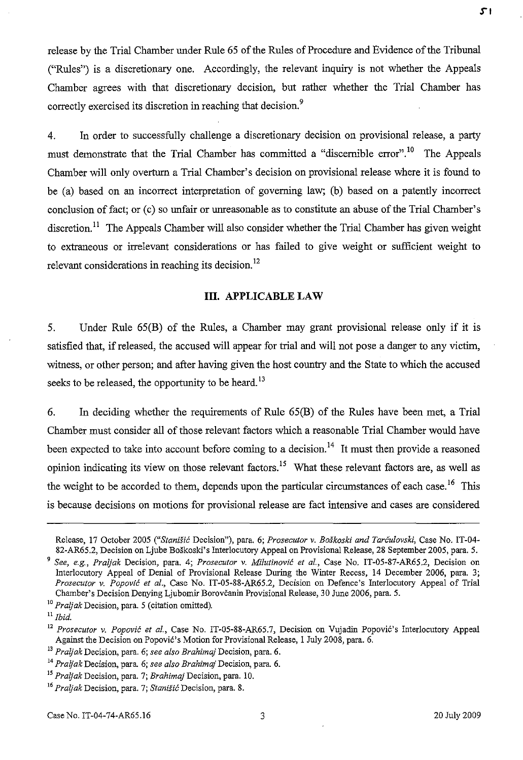release by the Trial Chamber under Rule 65 of the Rules of Procedure and Evidence of the Tribunal ("Rules") is a discretionary one. Accordingly, the relevant inquiry is not whether the Appeals Chamber agrees with that discretionary decision, but rather whether the Trial Chamber has correctly exercised its discretion in reaching that decision.<sup>9</sup>

4. In order to successfully challenge a discretionary decision on provisional release, a party must demonstrate that the Trial Chamber has committed a "discernible error".<sup>10</sup> The Appeals Chamber will only overturn a Trial Chamber's decision on provisional release where it is found to be (a) based on an incorrect interpretation of governing law; (b) based on a patently incorrect conclusion of fact; or (c) so unfair or unreasonable as to constitute an abuse of the Trial Chamber's discretion.<sup>11</sup> The Appeals Chamber will also consider whether the Trial Chamber has given weight to extraneous or irrelevant considerations or has failed to give weight or sufficient weight to relevant considerations in reaching its decision.<sup>12</sup>

#### **III. APPLICABLE LAW**

5. Under Rule 65(B) of the Rules, a Chamber may grant provisional release only if it is satisfied that, if released, the accused will appear for trial and will not pose a danger to any victim, witness, or other person; and after having given the host country and the State to which the accused seeks to be released, the opportunity to be heard.<sup>13</sup>

6. In deciding whether the requirements of Rule 65(B) of the Rules have been met, a Trial Chamber must consider all of those relevant factors which a reasonable Trial Chamber would have been expected to take into account before coming to a decision.<sup>14</sup> It must then provide a reasoned opinion indicating its view on those relevant factors.<sup>15</sup> What these relevant factors are, as well as the weight to be accorded to them, depends upon the particular circumstances of each case.<sup>16</sup> This is because decisions on motions for provisional release are fact intensive and cases are considered

Release, 17 October 2005 ("Stanišić Decision"), para. 6; Prosecutor v. Boškoski and Tarčulovski, Case No. IT-04-82-AR65.2, Decision on Ljube Boskoski's Interlocutory Appeal on Provisional Release, 28 September 2005, para. 5.

*<sup>9</sup> See, e.g., Praljak* Decision, para. 4; *Prosecutor* v. *Milutinovic et aI.,* Case No. IT-05-87-AR65.2, Decision on Interlocutory Appeal of Denial of Provisional Release During the Winter Recess, 14 December 2006, para. 3; *Prosecutor* v. *Popovic et aI.,* Case No. IT-05-88-AR65.2, Decision on Defence's Interlocutory Appeal of Trial Chamber's Decision Denying Ljubomir Borovcanin Provisional Release, 30 June 2006, para. 5.

*<sup>10</sup> Praljak* Decision, para. 5 (citation omitted).

II *Ibid.* 

*<sup>12</sup> Prosecutor* v. *Popovic et aI.,* Case No. IT-05-88-AR65.7, Decision on Vujadin Popovic's Interlocutory Appeal Against the Decision on Popovic's Motion for Provisional Release, I July 2008, para. 6.

*<sup>13</sup> Praljak* Decision, para. 6; *see also Brahimaj* Decision, para. 6.

<sup>14</sup>*Praljak* Decision, para 6; *see also Brahimqj* Decision, para. 6.

*<sup>15</sup> Praljak* Decision, para. 7; *Brahimaj* Decision, para. 10.

*<sup>16</sup> Praljak* **Decision, para. 7;** *Stanisi6* **Decision, para. 8.**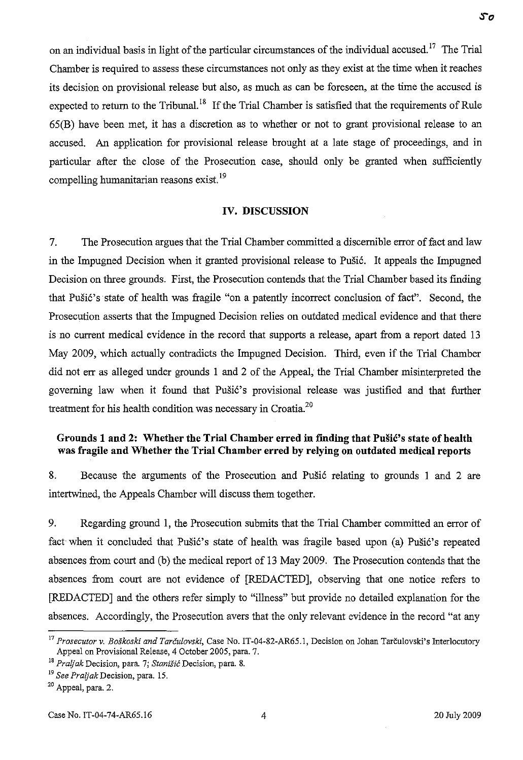on an individual basis in light of the particular circumstances of the individual accused.<sup>17</sup> The Trial Chamber is required to assess these circumstances not only as they exist at the time when it reaches its decision on provisional release but also, as much as can be foreseen, at the time the accused is expected to return to the Tribunal.<sup>18</sup> If the Trial Chamber is satisfied that the requirements of Rule 65(B) have been met, it has a discretion as to whether or not to grant provisional release to an accused. An application for provisional release brought at a late stage of proceedings, and in particular after the close of the Prosecution case, should only be granted when sufficiently compelling humanitarian reasons exist. <sup>19</sup>

#### IV. DISCUSSION

7. The Prosecution argues that the Trial Chamber committed a discernible error of fact and law in the Impugned Decision when it granted provisional release to Pušić. It appeals the Impugned Decision on three grounds. First, the Prosecution contends that the Trial Chamber based its finding that Pušić's state of health was fragile "on a patently incorrect conclusion of fact". Second, the Prosecution asserts that the Impugned Decision relies on outdated medical evidence and that there is no current medical evidence in the record that supports a release, apart from a report dated 13 May 2009, which actually contradicts the Impugned Decision. Third, even if the Trial Chamber did not err as alleged under grounds 1 and 2 of the Appeal, the Trial Chamber misinterpreted the governing law when it found that Pušić's provisional release was justified and that further treatment for his health condition was necessary in Croatia.<sup>20</sup>

### Grounds 1 and 2: Whether the Trial Chamber erred in finding that Pušić's state of health was fragile and Whether the Trial Chamber erred by relying on outdated medical reports

8. Because the arguments of the Prosecution and Pušić relating to grounds 1 and 2 are intertwined, the Appeals Chamber will discuss them together.

9. Regarding ground 1, the Prosecution submits that the Trial Chamber committed an error of fact when it concluded that Pušić's state of health was fragile based upon (a) Pušić's repeated absences from court and (b) the medical report of 13 May 2009. The Prosecution contends that the absences from court are not evidence of [REDACTED], observing that one notice refers to [REDACTED] and the others refer simply to "illness" but provide no detailed explanation for the absences. Accordingly, the Prosecution avers that the only relevant evidence in the record "at any

<sup>17</sup>*Prosecutor* v. *Boskoski and Tarculovski,* Case No. IT-04-82-AR6S.I, Decision on Johan Tarculovski's Interlocutory Appeal on Provisional Release, 4 October *200S,* para. 7.

<sup>18</sup>*Praljak* Decision, para. 7; *Stanisic* Decision, para. 8.

*<sup>19</sup> See Praljak* Decision, para. IS.

<sup>20</sup> Appeal, para. 2.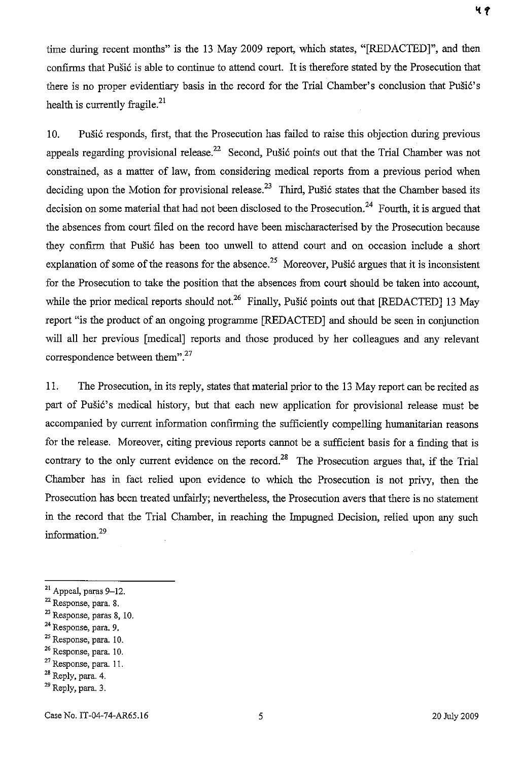time during recent months" is the 13 May 2009 report, which states, "[REDACTED]", and then confirms that Pušić is able to continue to attend court. It is therefore stated by the Prosecution that there is no proper evidentiary basis in the record for the Trial Chamber's conclusion that Pušić's health is currently fragile.<sup>21</sup>

10. Pušić responds, first, that the Prosecution has failed to raise this objection during previous appeals regarding provisional release.<sup>22</sup> Second, Pušić points out that the Trial Chamber was not constrained, as a matter of law, from considering medical reports from a previous period when deciding upon the Motion for provisional release.<sup>23</sup> Third, Pušić states that the Chamber based its decision on some material that had not been disclosed to the Prosecution.<sup>24</sup> Fourth, it is argued that the absences from court fIled on the record have been mischaracterised by the Prosecution because they confirm that Pušić has been too unwell to attend court and on occasion include a short explanation of some of the reasons for the absence.<sup>25</sup> Moreover, Pušić argues that it is inconsistent for the Prosecution to take the position that the absences from court should be taken into account, while the prior medical reports should not.<sup>26</sup> Finally, Pušić points out that [REDACTED] 13 May report "is the product of an ongoing programme [REDACTED] and should be seen in conjunction will all her previous [medical] reports and those produced by her colleagues and any relevant correspondence between them".<sup>27</sup>

11. The Prosecution, in its reply, states that material prior to the 13 May report can be recited as part of Pušić's medical history, but that each new application for provisional release must be accompanied by current information confirming the sufficiently compelling humanitarian reasons for the release. Moreover, citing previous reports cannot be a sufficient basis for a finding that is contrary to the only current evidence on the record.<sup>28</sup> The Prosecution argues that, if the Trial Chamber has in fact relied upon evidence to which the Prosecution is not privy, then the Prosecution has been treated unfairly; nevertheless, the Prosecution avers that there is no statement in the record that the Trial Chamber, in reaching the Impugned Decision, relied upon any such information.<sup>29</sup>

- <sup>24</sup> Response, para. 9.
- 25 Response, para. 10.
- **26 Response, para. 10.**

28 Reply, para. 4.

 $21$  Appeal, paras 9-12.

**<sup>22</sup> Response, para. 8.** 

 $23$  Response, paras 8, 10.

 $27$  Response, para. 11.

 $29$  Reply, para. 3.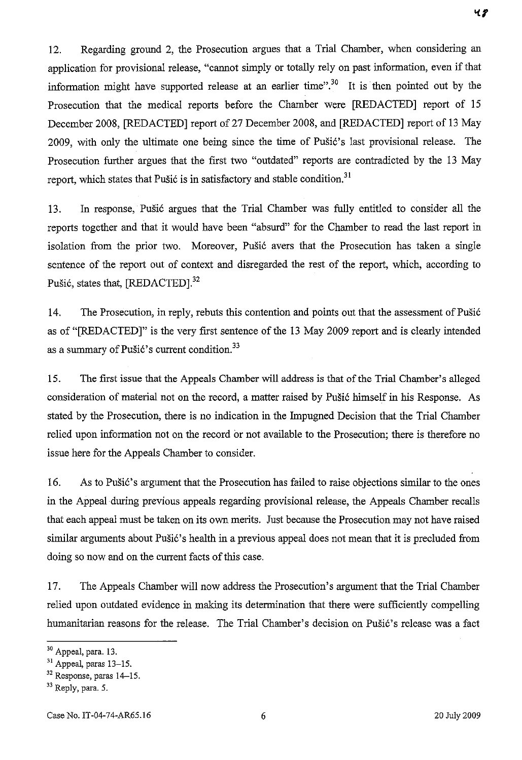12. Regarding ground 2, the Prosecution argues that a Trial Chamber, when considering an application for provisional release, "cannot simply or totally rely on past information, even if that information might have supported release at an earlier time".<sup>30</sup> It is then pointed out by the Prosecution that the medical reports before the Chamber were [REDACTED] report of 15 December 2008, [REDACTED] report of 27 December 2008, and [REDACTED] report of 13 May 2009, with only the ultimate one being since the time of Pušić's last provisional release. The Prosecution further argues that the first two "outdated" reports are contradicted by the 13 May report, which states that Pušić is in satisfactory and stable condition.<sup>31</sup>

13. In response, Pušić argues that the Trial Chamber was fully entitled to consider all the reports together and that it would have been "absurd" for the Chamber to read the last report in isolation from the prior two. Moreover, Pušić avers that the Prosecution has taken a single sentence of the report out of context and disregarded the rest of the report, which, according to Pušić, states that, [REDACTED].<sup>32</sup>

14. The Prosecution, in reply, rebuts this contention and points out that the assessment of Pušić as of "[REDACTED]" is the very first sentence of the 13 May 2009 report and is clearly intended as a summary of Pušić's current condition.<sup>33</sup>

15. The first issue that the Appeals Chamber will address is that of the Trial Chamber's alleged consideration of material not on the record, a matter raised by Pušić himself in his Response. As stated by the Prosecution, there is no indication in the Impugned Decision that the Trial Chamber relied upon information not on the record or not available to the Prosecution; there is therefore no issue here for the Appeals Chamber to consider.

16. As to Pušić's argument that the Prosecution has failed to raise objections similar to the ones in the Appeal during previous appeals regarding provisional release, the Appeals Chamber recalls that each appeal must be taken on its own merits. Just because the Prosecution may not have raised similar arguments about Pušić's health in a previous appeal does not mean that it is precluded from doing so now and on the current facts of this case.

17. The Appeals Chamber will now address the Prosecution's argument that the Trial Chamber relied upon outdated evidence in making its determination that there were sufficiently compelling humanitarian reasons for the release. The Trial Chamber's decision on Pušić's release was a fact

<sup>30</sup> Appeal, para. 13.

<sup>&</sup>lt;sup>31</sup> Appeal, paras 13-15.

<sup>&</sup>lt;sup>32</sup> Response, paras 14-15.

<sup>&</sup>lt;sup>33</sup> Reply, para. 5.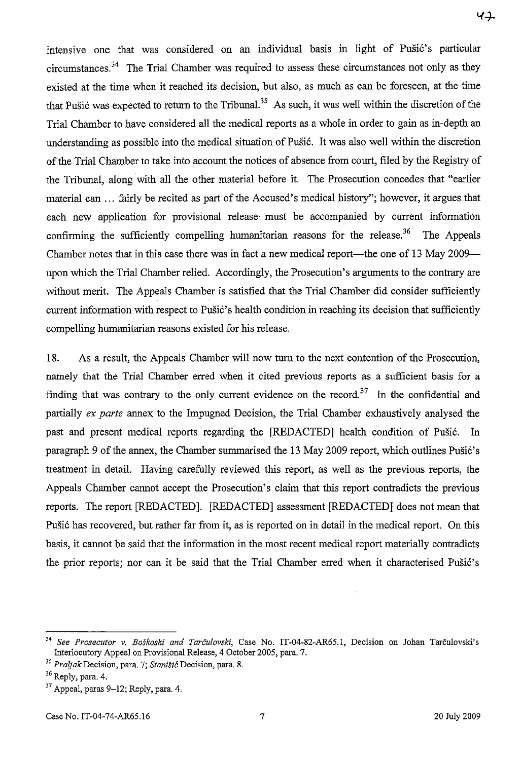41

intensive one that was considered on an individual basis in light of Pušić's particular circumstances.<sup>34</sup> The Trial Chamber was required to assess these circumstances not only as they existed at the time when it reached its decision, but also, as much as can be foreseen, at the time that Pusić was expected to return to the Tribunal.<sup>35</sup> As such, it was well within the discretion of the Trial Chamber to have considered all the medical reports as a whole in order to gain as in-depth an understanding as possible into the medical situation of Pušić. It was also well within the discretion of the Trial Chamber to take into account the notices of absence from court, filed by the Registry of the Tribunal, along with all the other material before it. The Prosecution concedes that "earlier material can ... fairly be recited as part of the Accused's medical history"; however, it argues that each new application for provisional release· must be accompanied by current information confirming the sufficiently compelling humanitarian reasons for the release.<sup>36</sup> The Appeals Chamber notes that in this case there was in fact a new medical report—the one of 13 May 2009 upon which the Trial Chamber relied. Accordingly, the Prosecution's arguments to the contrary are without merit. The Appeals Chamber is satisfied that the Trial Chamber did consider sufficiently current information with respect to Pušić's health condition in reaching its decision that sufficiently compelling humanitarian reasons existed for his release.

18. As a result, the Appeals Chamber will now turn to the next contention of the Prosecution, namely that the Trial Chamber erred when it cited previous reports as a sufficient basis for a finding that was contrary to the only current evidence on the record.<sup>37</sup> In the confidential and partially *ex parte* annex to the Impugned Decision, the Trial Chamber exhaustively analysed the past and present medical reports regarding the [REDACTED] health condition of Pušić. In paragraph 9 of the annex, the Chamber summarised the 13 May 2009 report, which outlines Pušić's treatment in detail. Having carefully reviewed this report, as well as the previous reports, the Appeals Chamber carmot accept the Prosecution's claim that this report contradicts the previous reports. The report [REDACTED]. [REDACTED] assessment [REDACTED] does not mean that Pušić has recovered, but rather far from it, as is reported on in detail in the medical report. On this basis, it carmot be said that the information in the most recent medical report materially contradicts the prior reports; nor can it be said that the Trial Chamber erred when it characterised Pušić's

<sup>34</sup>*See Prosecutor* v. *Boskoski and Tarculovski,* Case No. IT-04-82-AR65.1, Decision on Johan Tarculovski's Interlocutory Appeal on Provisional Release, 4 October 2005, para. 7.

*<sup>35</sup> Praljak* **Decision, para. 7; Stanisic Decision, para. 8.** 

 $36$  Reply, para. 4.

 $37$  Appeal, paras 9-12; Reply, para. 4.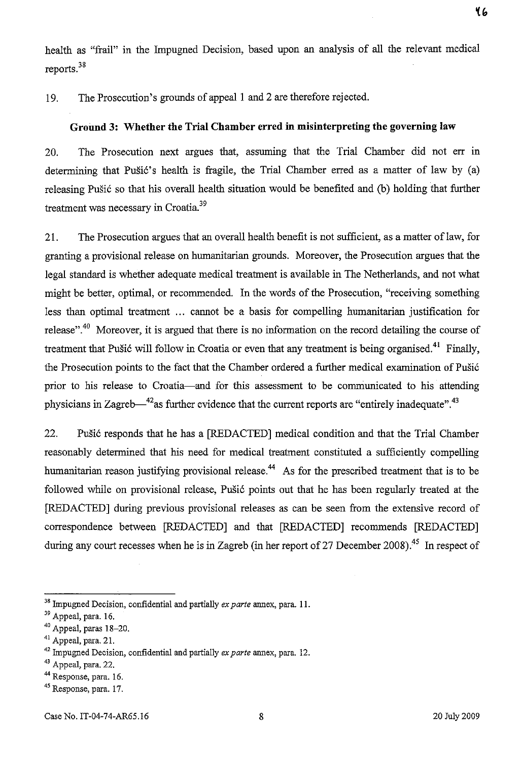health as "frail" in the Impugned Decision, based upon an analysis of all the relevant medical reports.<sup>38</sup>

19. The Prosecution's grounds of appeal 1 and 2 are therefore rejected.

## **Ground 3: Whether the Trial Chamber erred in misinterpreting the governing law**

20. The Prosecution next argues that, assuming that the Trial Chamber did not err in determining that Pusić's health is fragile, the Trial Chamber erred as a matter of law by  $(a)$ releasing Pušić so that his overall health situation would be benefited and (b) holding that further treatment was necessary in Croatia.<sup>39</sup>

21. The Prosecution argues that an overall health benefit is not sufficient, as a matter of law, for granting a provisional release on humanitarian grounds. Moreover, the Prosecution argues that the legal standard is whether adequate medical treatment is available in The Netherlands, and not what might be better, optimal, or recommended. In the words of the Prosecution, "receiving something less than optimal treatment ... cannot be a basis for compelling humanitarian justification for release".<sup>40</sup> Moreover, it is argued that there is no information on the record detailing the course of treatment that Pušić will follow in Croatia or even that any treatment is being organised.<sup>41</sup> Finally, the Prosecution points to the fact that the Chamber ordered a further medical examination of Pušić prior to his release to Croatia-and for this assessment to be communicated to his attending physicians in Zagreb $-42$ as further evidence that the current reports are "entirely inadequate".<sup>43</sup>

22. Pušić responds that he has a [REDACTED] medical condition and that the Trial Chamber reasonably determined that his need for medical treatment constituted a sufficiently compelling humanitarian reason justifying provisional release.<sup>44</sup> As for the prescribed treatment that is to be followed while on provisional release, Pušić points out that he has been regularly treated at the [REDACTED] during previous provisional releases as can be seen from the extensive record of correspondence between [REDACTED] and that [REDACTED] recommends [REDACTED] during any court recesses when he is in Zagreb (in her report of 27 December 2008).<sup>45</sup> In respect of

<sup>38</sup> Impugned Decision, confidential and partially *ex parte* annex, para. II.

<sup>&</sup>lt;sup>39</sup> Appeal, para. 16.

<sup>40</sup> Appeal, paras 18-20.

<sup>41</sup> Appeal, para. 21.

<sup>42</sup> Impugned Decision, confidential and partially *ex parte* annex, para. 12.

<sup>&</sup>lt;sup>43</sup> Appeal, para. 22.

<sup>44</sup> Response, para. 16.

<sup>&</sup>lt;sup>45</sup> Response, para. 17.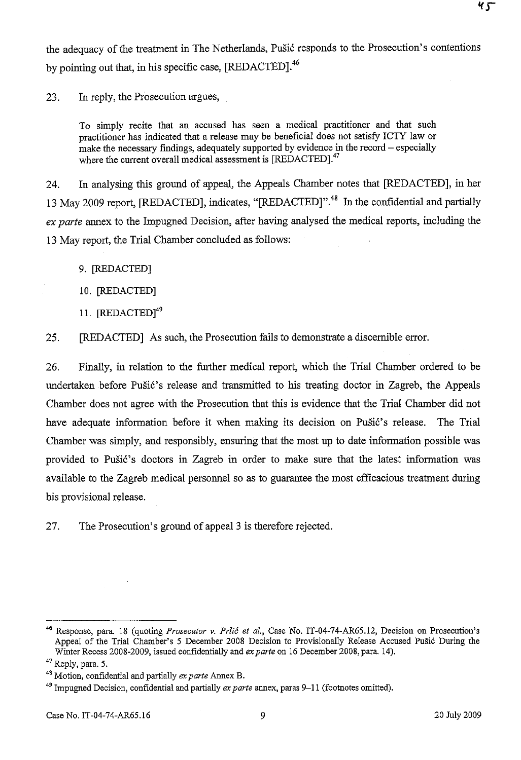the adequacy of the treatment in The Netherlands, Pušić responds to the Prosecution's contentions by pointing out that, in his specific case, [REDACTED].<sup>46</sup>

23. In reply, the Prosecution argues,

To simply recite that an accused has seen a medical practitioner and that such practitioner has indicated that a release may be beneficial does not satisfy ICTY law or make the necessary findings, adequately supported by evidence in the record - especially where the current overall medical assessment is [REDACTED].<sup>47</sup>

24. In analysing this ground of appeal, the Appeals Chamber notes that [REDACTED], in her 13 May 2009 report, [REDACTED], indicates, "[REDACTED]".<sup>48</sup> In the confidential and partially *ex parte* annex to the Impugned Decision, after having analysed the medical reports, including the 13 May report, the Trial Chamber concluded as follows:

- 9. [REDACTED]
- 10. [REDACTED]
- 11. **[REDACTED]**<sup>49</sup>
- 25. [REDACTED] As such, the Prosecution fails to demonstrate a discernible error.

26. Finally, in relation to the further medical report, which the Trial Chamber ordered to be undertaken before Pušić's release and transmitted to his treating doctor in Zagreb, the Appeals Chamber does not agree with the Prosecution that this is evidence that the Trial Chamber did not have adequate information before it when making its decision on Pušić's release. The Trial Chamber was simply, and responsibly, ensuring that the most up to date information possible was provided to Pušić's doctors in Zagreb in order to make sure that the latest information was available to the Zagreb medical personnel so as to guarantee the most efficacious treatment during his provisional release.

27. The Prosecution's ground of appeal 3 is therefore rejected.

<sup>46</sup> Response, para. 18 (quoting *Prosecutor v. Prlic et al.,* Case No. IT-04-74-AR65.12, Decision on Prosecution's Appeal of the Trial Chamber's 5 December 2008 Decision to Provisionally Release Accused Pušić During the Winter Recess 2008-2009, issued confidentially and *ex parte* on 16 December 2008, para. 14).

<sup>47</sup> Reply, para. 5.

<sup>4</sup>' Motion, confidential and partially *ex parte* Annex B.

<sup>49</sup> Impugned Decision, confidential and partially *ex parte* annex, paras 9-11 (footnotes omitted).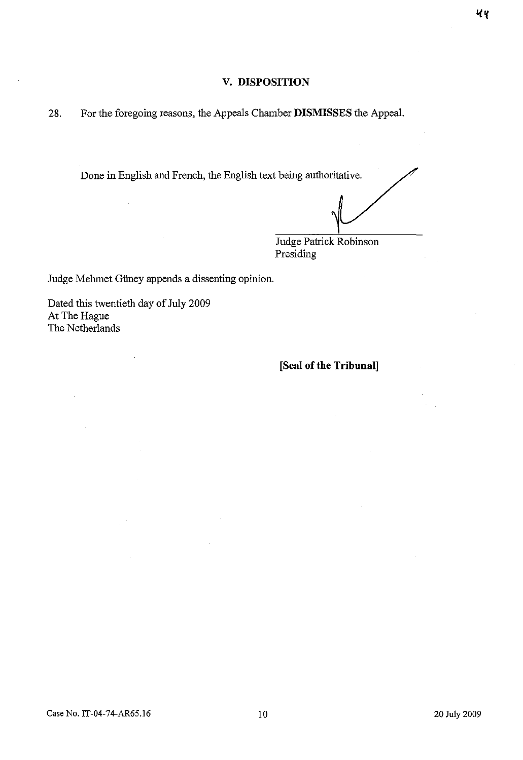## **v. DISPOSITION**

28. For the foregoing reasons, the Appeals Chamber **DISMISSES** the Appeal.

Done in English and French, the English text being authoritative.

Judge Patrick Robinson Presiding

Judge Mehmet Güney appends a dissenting opinion.

Dated this twentieth day of July 2009 At The Hague The Netherlands

 $\bar{a}$ 

**[Seal of the Tribunal]**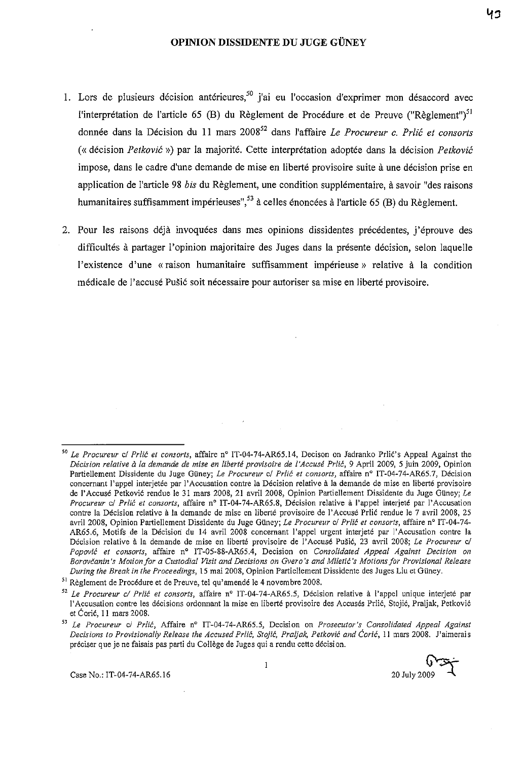#### OPINION DISSIDENTE DU JUGE GÜNEY

- 1. Lors de plusieurs décision antérieures,  $50$  j'ai eu l'occasion d'exprimer mon désaccord avec l'interprétation de l'article 65 (B) du Règlement de Procédure et de Preuve ("Règlement")<sup>51</sup> donnee dans la Decision du 11 mars 200852 dans l'affaire *Le Procureur c. Prlic et consorts*  (<< decision *Petkovic* ») par la majorite. Cette interpretation adoptee dans la decision *Petkovic*  impose, dans le cadre d'une demande de mise en liberté provisoire suite à une décision prise en application de l'article 98 *his* du Reglement, une condition supplementaire, a savoir "des raisons humanitaires suffisamment impérieuses",  $53$  à celles énoncées à l'article 65 (B) du Règlement.
- 2. Pour les raisons déjà invoquées dans mes opinions dissidentes précédentes, j'éprouve des difficultés à partager l'opinion majoritaire des Juges dans la présente décision, selon laquelle l'existence d'une «raison humanitaire suffisamment impérieuse» relative à la condition medicale de l'accuse Pusi6 soit necessaire pour autoriser sa mise en liberte provisoire.

Case No.: IT·04·74·AR65.16

 $\mathbf{l}$ 

 $0 - -$ 20 July 200

*<sup>50</sup> Le Procureur* cl *Prlic et consorts,* affaire n° IT-04-74-AR65.l4, Decison on ladranko Prlic's Appeal Against the *Decision relative a fa demande de mise en liberte provisoire de /'Accuse Prlic,* 9 April 2009, 5 juin 2009, Opinion Partiellement Dissidente du Juge Güney; *Le Procureur cl Prlić et consorts*, affaire n° IT-04-74-AR65.7, Décision concernant l'appel interjetée par l'Accusation contre la Décision relative à la demande de mise en liberté provisoire de l'Accusé Petković rendue le 31 mars 2008, 21 avril 2008, Opinion Partiellement Dissidente du Juge Güney; *Le Procureur cl Prlic et consorts,* affaire n° IT-04-74-AR65.8, Decision relative a I'appel interjete par I'Accusation contre la Décision relative à la demande de mise en liberté provisoire de l'Accusé Prlić rendue le 7 avril 2008, 25 avril 2008, Opinion Partiellement Dissidente du Juge Güney; *Le Procureur c/ Prlić et consorts*, affaire n° IT-04-74-AR65.6, Motifs de la Decision du 14 avril 2008 concernant I'appel urgent interjete par 1'Accusation contre la Décision relative à la demande de mise en liberté provisoire de l'Accusé Pušić, 23 avril 2008; Le Procureur c/ Popović et consorts, affaire n<sup>o</sup> IT-05-88-AR65.4, Decision on *Consolidated Appeal Against Decision on Borovcanin's Motion/or a Custodial Visit and Decisions on Gvero's and Miletic's Motions/or Provisional Release During the Break in the Proceedings,* 15 mai 2008, Opinion Partiellement Dissidente des luges Liu et GUney.

<sup>&</sup>lt;sup>51</sup> Règlement de Procédure et de Preuve, tel qu'amendé le 4 novembre 2008.

<sup>&</sup>lt;sup>52</sup> Le Procureur c/ Prlić et consorts, affaire nº IT-04-74-AR65.5, Décision relative à l'appel unique interjeté par I'Accusation contre les decisions ordonnant la mise en liberte provisoire des Accuses Prlic, Stoji6, Praljak, Petkovic et Carie, 11 mars 2008.

*<sup>53</sup> Le Procureur cl Prlic,* Affaire n° IT-04-74-AR65.5, Decision on *Prosecutor's Consolidated Appeal Against Decisions to Provisionally Release the Accused Prlic, Stojic, Praljak, Petkovic and Coric,* 11 mars 2008. l'aimerais preciser que je ne faisais pas parti du College de luges qui a rendu cette decision.